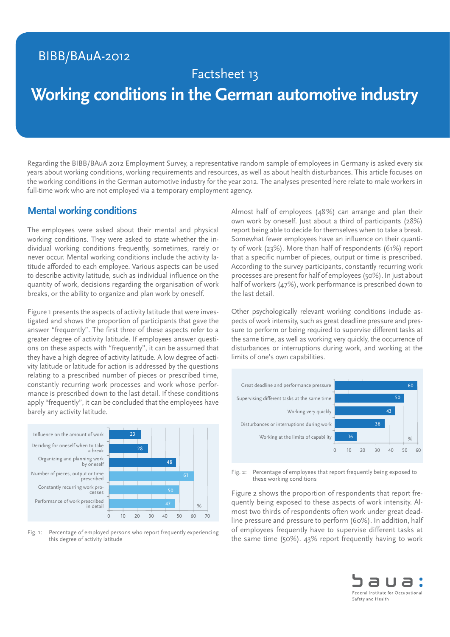## BIBB/BAuA-2012

## Factsheet 13

# **Working conditions in the German automotive industry**

Regarding the BIBB/BAuA 2012 Employment Survey, a representative random sample of employees in Germany is asked every six years about working conditions, working requirements and resources, as well as about health disturbances. This article focuses on the working conditions in the German automotive industry for the year 2012. The analyses presented here relate to male workers in full-time work who are not employed via a temporary employment agency.

#### **Mental working conditions**

The employees were asked about their mental and physical working conditions. They were asked to state whether the individual working conditions frequently, sometimes, rarely or never occur. Mental working conditions include the activity latitude afforded to each employee. Various aspects can be used to describe activity latitude, such as individual influence on the quantity of work, decisions regarding the organisation of work breaks, or the ability to organize and plan work by oneself.

Figure 1 presents the aspects of activity latitude that were investigated and shows the proportion of participants that gave the answer "frequently". The first three of these aspects refer to a greater degree of activity latitude. If employees answer questions on these aspects with "frequently", it can be assumed that they have a high degree of activity latitude. A low degree of activity latitude or latitude for action is addressed by the questions relating to a prescribed number of pieces or prescribed time, constantly recurring work processes and work whose performance is prescribed down to the last detail. If these conditions apply "frequently", it can be concluded that the employees have barely any activity latitude.



Fig. 1: Percentage of employed persons who report frequently experiencing this degree of activity latitude

Almost half of employees (48%) can arrange and plan their own work by oneself. Just about a third of participants (28%) report being able to decide for themselves when to take a break. Somewhat fewer employees have an influence on their quantity of work (23%). More than half of respondents (61%) report that a specific number of pieces, output or time is prescribed. According to the survey participants, constantly recurring work processes are present for half of employees (50%). In just about half of workers (47%), work performance is prescribed down to the last detail.

Other psychologically relevant working conditions include aspects of work intensity, such as great deadline pressure and pressure to perform or being required to supervise different tasks at the same time, as well as working very quickly, the occurrence of disturbances or interruptions during work, and working at the limits of one's own capabilities.



Fig. 2: Percentage of employees that report frequently being exposed to these working conditions

Figure 2 shows the proportion of respondents that report frequently being exposed to these aspects of work intensity. Almost two thirds of respondents often work under great deadline pressure and pressure to perform (60%). In addition, half of employees frequently have to supervise different tasks at the same time (50%). 43% report frequently having to work